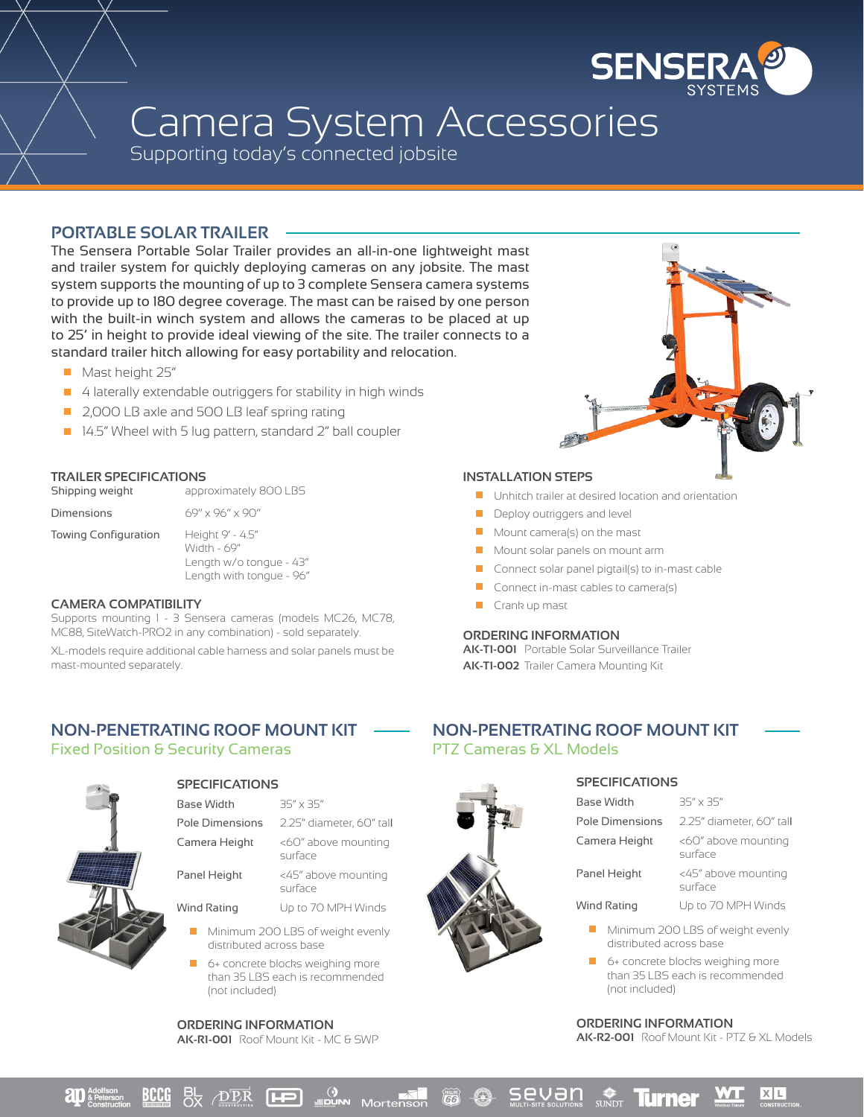

# Camera System Accessories

Supporting today's connected jobsite

## **PORTABLE SOLAR TRAILER**

The Sensera Portable Solar Trailer provides an all-in-one lightweight mast and trailer system for quickly deploying cameras on any jobsite. The mast system supports the mounting of up to 3 complete Sensera camera systems to provide up to 180 degree coverage. The mast can be raised by one person with the built-in winch system and allows the cameras to be placed at up to 25' in height to provide ideal viewing of the site. The trailer connects to a standard trailer hitch allowing for easy portability and relocation.

- Mast height 25"
- 4 laterally extendable outriggers for stability in high winds
- 2,000 LB axle and 500 LB leaf spring rating
- 14.5" Wheel with 5 lug pattern, standard 2" ball coupler

### **TRAILER SPECIFICATIONS**

| Shipping weight      | approximately 800 LBS                                                                  |
|----------------------|----------------------------------------------------------------------------------------|
| Dimensions           | 69" x 96" x 90"                                                                        |
| Towing Configuration | Height 9' - 4.5"<br>Width - 69"<br>Length w/o tongue - 43"<br>Length with tongue - 96" |

#### **CAMERA COMPATIBILITY**

Supports mounting 1 - 3 Sensera cameras (models MC26, MC78, MC88, SiteWatch-PRO2 in any combination) - sold separately.

XL-models require additional cable harness and solar panels must be mast-mounted separately.

#### **INSTALLATION STEPS**

- **Unhitch trailer at desired location and orientation**
- **Deploy outriggers and level**
- Mount camera(s) on the mast
- **Mount solar panels on mount arm**
- $\Box$  Connect solar panel pigtail(s) to in-mast cable
- **Connect in-mast cables to camera(s)**
- Crank up mast  $\mathcal{L}_{\mathcal{A}}$

#### **ORDERING INFORMATION**

**AK-T1-001** Portable Solar Surveillance Trailer **AK-T1-002** Trailer Camera Mounting Kit

## **NON-PENETRATING ROOF MOUNT KIT** Fixed Position & Security Cameras



# **SPECIFICATIONS**

| Base Width             | $35'' \times 35''$             |
|------------------------|--------------------------------|
| <b>Pole Dimensions</b> | 2.25" diameter, 60" tall       |
| Camera Height          | <60" above mounting<br>surface |
| Panel Height           | <45" above mounting<br>surface |

Wind Rating Up to 70 MPH Winds

- Minimum 200 LBS of weight evenly п distributed across base
- $\Box$  6+ concrete blocks weighing more than 35 LBS each is recommended (not included)

**ORDERING INFORMATION AK-R1-001** Roof Mount Kit - MC & SWP

## **NON-PENETRATING ROOF MOUNT KIT** PTZ Cameras & XL Models



# **SPECIFICATIONS**

| <b>Base Width</b>      | $35'' \times 35''$             |
|------------------------|--------------------------------|
| <b>Pole Dimensions</b> | 2.25" diameter, 60" tall       |
| Camera Height          | <60" above mounting<br>surface |
| Panel Height           | <45" above mounting<br>surface |
| <b>Wind Rating</b>     | Up to 70 MPH Winds             |

- Minimum 200 LBS of weight evenly distributed across base
- 6+ concrete blocks weighing more than 35 LBS each is recommended (not included)

#### **ORDERING INFORMATION**

**AK-R2-001** Roof Mount Kit - PTZ & XL Models